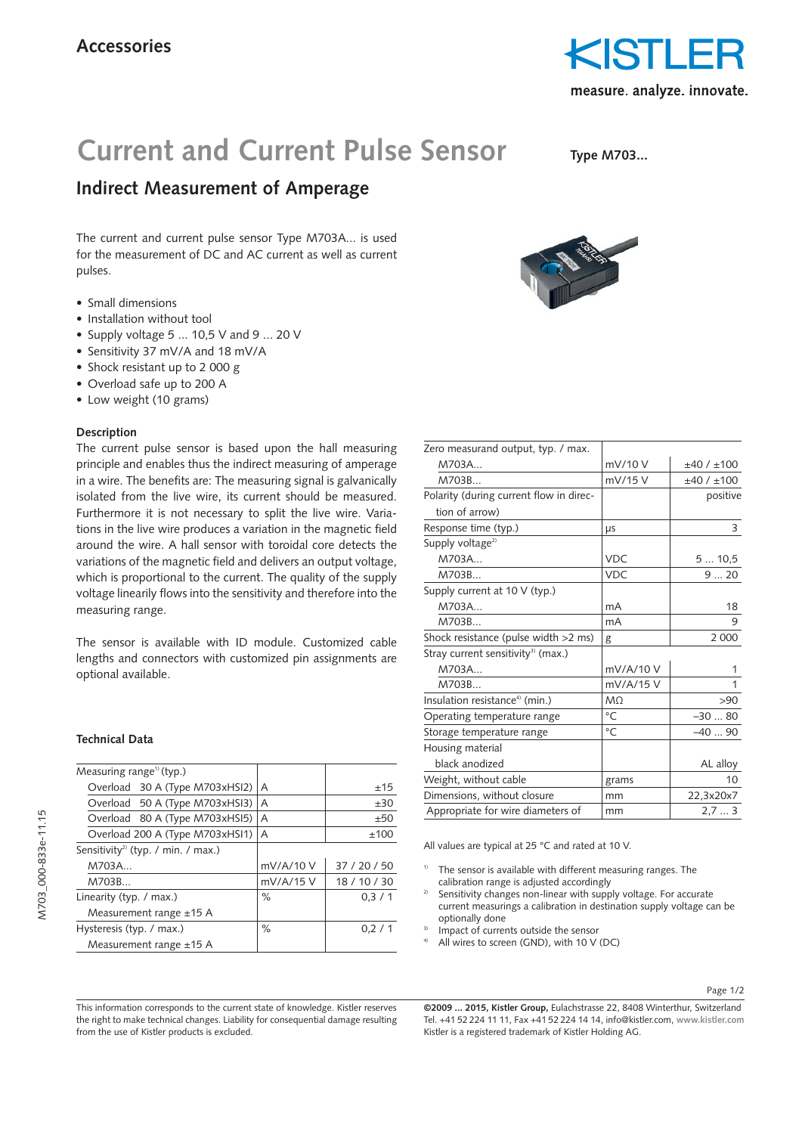

# **Current and Current Pulse Sensor**

**Type M703...**

## **Indirect Measurement of Amperage**

The current and current pulse sensor Type M703A... is used for the measurement of DC and AC current as well as current pulses.

- Small dimensions
- Installation without tool
- Supply voltage 5 ... 10,5 V and 9 ... 20 V
- Sensitivity 37 mV/A and 18 mV/A
- Shock resistant up to 2 000 g
- Overload safe up to 200 A
- Low weight (10 grams)

### **Description**

The current pulse sensor is based upon the hall measuring principle and enables thus the indirect measuring of amperage in a wire. The benefits are: The measuring signal is galvanically isolated from the live wire, its current should be measured. Furthermore it is not necessary to split the live wire. Variations in the live wire produces a variation in the magnetic field around the wire. A hall sensor with toroidal core detects the variations of the magnetic field and delivers an output voltage, which is proportional to the current. The quality of the supply voltage linearily flows into the sensitivity and therefore into the measuring range.

The sensor is available with ID module. Customized cable lengths and connectors with customized pin assignments are optional available.

#### **Technical Data**

| A           | ±15          |
|-------------|--------------|
| A           | ±30          |
| A           | ±50          |
| A           | ±100         |
|             |              |
| mV/A/10 V   | 37 / 20 / 50 |
| $mV/A/15$ V | 18 / 10 / 30 |
| ℅           | 0.3/1        |
|             |              |
| ℅           | 0.2/1        |
|             |              |
|             |              |



| Zero measurand output, typ. / max.             |             |            |  |
|------------------------------------------------|-------------|------------|--|
| M703A                                          | mV/10 V     | ±40/±100   |  |
| M703B                                          | mV/15 V     | ±40 / ±100 |  |
| Polarity (during current flow in direc-        |             | positive   |  |
| tion of arrow)                                 |             |            |  |
| Response time (typ.)                           | μs          | 3          |  |
| Supply voltage <sup>2)</sup>                   |             |            |  |
| M703A                                          | <b>VDC</b>  | 510,5      |  |
| M703B                                          | <b>VDC</b>  | 920        |  |
| Supply current at 10 V (typ.)                  |             |            |  |
| M703A                                          | mA          | 18         |  |
| M703B                                          | mA          | 9          |  |
| Shock resistance (pulse width >2 ms)           | g           | 2 0 0 0    |  |
| Stray current sensitivity <sup>3)</sup> (max.) |             |            |  |
| M703A                                          | mV/A/10 V   | 1          |  |
| M703B                                          | mV/A/15 V   | 1          |  |
| Insulation resistance <sup>4)</sup> (min.)     | MO          | >90        |  |
| Operating temperature range                    | $^{\circ}C$ | $-3080$    |  |
| Storage temperature range                      | $^{\circ}C$ | $-4090$    |  |
| Housing material                               |             |            |  |
| black anodized                                 |             | AL alloy   |  |
| Weight, without cable                          | grams       | 10         |  |
| Dimensions, without closure                    | mm          | 22,3x20x7  |  |
| Appropriate for wire diameters of              | mm          | 2,73       |  |
|                                                |             |            |  |

All values are typical at 25 °C and rated at 10 V.

- The sensor is available with different measuring ranges. The calibration range is adjusted accordingly
- Sensitivity changes non-linear with supply voltage. For accurate current measurings a calibration in destination supply voltage can be optionally done
- Impact of currents outside the sensor
- All wires to screen (GND), with 10 V (DC)

Page 1/2

This information corresponds to the current state of knowledge. Kistler reserves the right to make technical changes. Liability for consequential damage resulting from the use of Kistler products is excluded.

**©2009 ... 2015, Kistler Group,** Eulachstrasse 22, 8408 Winterthur, Switzerland Tel. +41 52 224 11 11, Fax +41 52 224 14 14, info@kistler.com, **www.kistler.com** Kistler is a registered trademark of Kistler Holding AG.